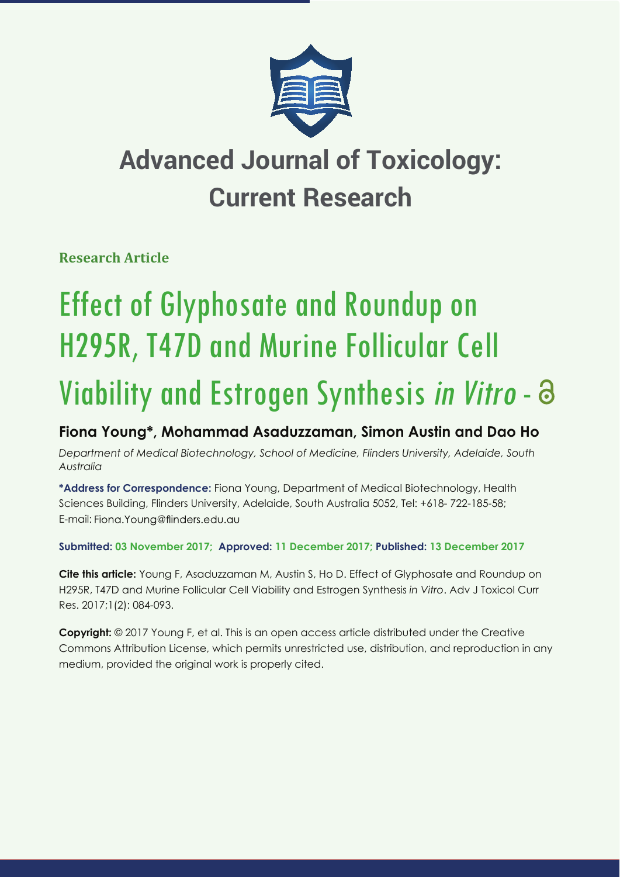

## **Advanced Journal of Toxicology: Current Research**

**Research Article**

# Effect of Glyphosate and Roundup on H295R, T47D and Murine Follicular Cell Viability and Estrogen Synthesis in Vitro - a

### **Fiona Young\*, Mohammad Asaduzzaman, Simon Austin and Dao Ho**

*Department of Medical Biotechnology, School of Medicine, Flinders University, Adelaide, South Australia*

**\*Address for Correspondence:** Fiona Young, Department of Medical Biotechnology, Health Sciences Building, Flinders University, Adelaide, South Australia 5052, Tel: +618- 722-185-58; E-mail: Fiona. Young@flinders.edu.au

**Submitted: 03 November 2017; Approved: 11 December 2017; Published: 13 December 2017**

**Cite this article:** Young F, Asaduzzaman M, Austin S, Ho D. Effect of Glyphosate and Roundup on H295R, T47D and Murine Follicular Cell Viability and Estrogen Synthesis *in Vitro*. Adv J Toxicol Curr Res. 2017;1(2): 084-093.

**Copyright:** © 2017 Young F, et al. This is an open access article distributed under the Creative Commons Attribution License, which permits unrestricted use, distribution, and reproduction in any medium, provided the original work is properly cited.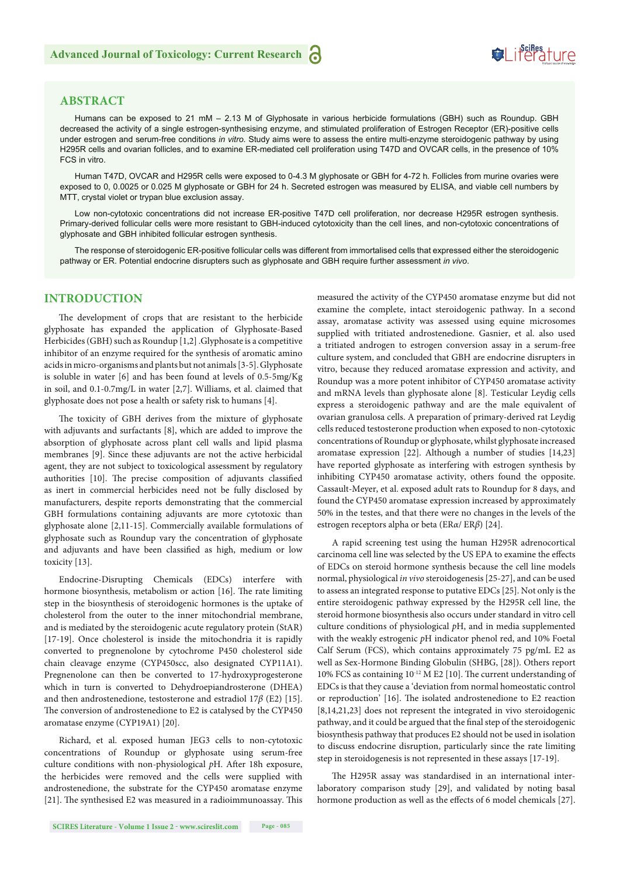#### **ABSTRACT**

Humans can be exposed to 21 mM – 2.13 M of Glyphosate in various herbicide formulations (GBH) such as Roundup. GBH decreased the activity of a single estrogen-synthesising enzyme, and stimulated proliferation of Estrogen Receptor (ER)-positive cells under estrogen and serum-free conditions *in vitro.* Study aims were to assess the entire multi-enzyme steroidogenic pathway by using H295R cells and ovarian follicles, and to examine ER-mediated cell proliferation using T47D and OVCAR cells, in the presence of 10% FCS in vitro.

Human T47D, OVCAR and H295R cells were exposed to 0-4.3 M glyphosate or GBH for 4-72 h. Follicles from murine ovaries were exposed to 0, 0.0025 or 0.025 M glyphosate or GBH for 24 h. Secreted estrogen was measured by ELISA, and viable cell numbers by MTT, crystal violet or trypan blue exclusion assay.

Low non-cytotoxic concentrations did not increase ER-positive T47D cell proliferation, nor decrease H295R estrogen synthesis. Primary-derived follicular cells were more resistant to GBH-induced cytotoxicity than the cell lines, and non-cytotoxic concentrations of glyphosate and GBH inhibited follicular estrogen synthesis.

The response of steroidogenic ER-positive follicular cells was different from immortalised cells that expressed either the steroidogenic pathway or ER. Potential endocrine disrupters such as glyphosate and GBH require further assessment *in vivo*.

#### **INTRODUCTION**

The development of crops that are resistant to the herbicide glyphosate has expanded the application of Glyphosate-Based Herbicides (GBH) such as Roundup [1,2] .Glyphosate is a competitive inhibitor of an enzyme required for the synthesis of aromatic amino acids in micro-organisms and plants but not animals [3-5]. Glyphosate is soluble in water [6] and has been found at levels of 0.5-5mg/Kg in soil, and 0.1-0.7mg/L in water [2,7]. Williams, et al. claimed that glyphosate does not pose a health or safety risk to humans [4].

The toxicity of GBH derives from the mixture of glyphosate with adjuvants and surfactants [8], which are added to improve the absorption of glyphosate across plant cell walls and lipid plasma membranes [9]. Since these adjuvants are not the active herbicidal agent, they are not subject to toxicological assessment by regulatory authorities [10]. The precise composition of adjuvants classified as inert in commercial herbicides need not be fully disclosed by manufacturers, despite reports demonstrating that the commercial GBH formulations containing adjuvants are more cytotoxic than glyphosate alone [2,11-15]. Commercially available formulations of glyphosate such as Roundup vary the concentration of glyphosate and adjuvants and have been classified as high, medium or low toxicity [13].

Endocrine-Disrupting Chemicals (EDCs) interfere with hormone biosynthesis, metabolism or action [16]. The rate limiting step in the biosynthesis of steroidogenic hormones is the uptake of cholesterol from the outer to the inner mitochondrial membrane, and is mediated by the steroidogenic acute regulatory protein (StAR) [17-19]. Once cholesterol is inside the mitochondria it is rapidly converted to pregnenolone by cytochrome P450 cholesterol side chain cleavage enzyme (CYP450scc, also designated CYP11A1). Pregnenolone can then be converted to 17-hydroxyprogesterone which in turn is converted to Dehydroepiandrosterone (DHEA) and then androstenedione, testosterone and estradiol 17*β* (E2) [15]. The conversion of androstenedione to E2 is catalysed by the CYP450 aromatase enzyme (CYP19A1) [20].

Richard, et al. exposed human JEG3 cells to non-cytotoxic concentrations of Roundup or glyphosate using serum-free culture conditions with non-physiological pH. After 18h exposure, the herbicides were removed and the cells were supplied with androstenedione, the substrate for the CYP450 aromatase enzyme [21]. The synthesised E2 was measured in a radioimmunoassay. This

measured the activity of the CYP450 aromatase enzyme but did not examine the complete, intact steroidogenic pathway. In a second assay, aromatase activity was assessed using equine microsomes supplied with tritiated androstenedione. Gasnier, et al. also used a tritiated androgen to estrogen conversion assay in a serum-free culture system, and concluded that GBH are endocrine disrupters in vitro, because they reduced aromatase expression and activity, and Roundup was a more potent inhibitor of CYP450 aromatase activity and mRNA levels than glyphosate alone [8]. Testicular Leydig cells express a steroidogenic pathway and are the male equivalent of ovarian granulosa cells. A preparation of primary-derived rat Leydig cells reduced testosterone production when exposed to non-cytotoxic concentrations of Roundup or glyphosate, whilst glyphosate increased aromatase expression [22]. Although a number of studies [14,23] have reported glyphosate as interfering with estrogen synthesis by inhibiting CYP450 aromatase activity, others found the opposite. Cassault-Meyer, et al. exposed adult rats to Roundup for 8 days, and found the CYP450 aromatase expression increased by approximately 50% in the testes, and that there were no changes in the levels of the estrogen receptors alpha or beta (ER*α*/ ER*β*) [24].

SeiRes ture

A rapid screening test using the human H295R adrenocortical carcinoma cell line was selected by the US EPA to examine the effects of EDCs on steroid hormone synthesis because the cell line models normal, physiological *in vivo* steroidogenesis [25-27], and can be used to assess an integrated response to putative EDCs [25]. Not only is the entire steroidogenic pathway expressed by the H295R cell line, the steroid hormone biosynthesis also occurs under standard in vitro cell culture conditions of physiological *p*H, and in media supplemented with the weakly estrogenic *p*H indicator phenol red, and 10% Foetal Calf Serum (FCS), which contains approximately 75 pg/mL E2 as well as Sex-Hormone Binding Globulin (SHBG, [28]). Others report 10% FCS as containing  $10^{-12}$  M E2 [10]. The current understanding of EDCs is that they cause a 'deviation from normal homeostatic control or reproduction' [16]. The isolated androstenedione to E2 reaction [8,14,21,23] does not represent the integrated in vivo steroidogenic pathway, and it could be argued that the final step of the steroidogenic biosynthesis pathway that produces E2 should not be used in isolation to discuss endocrine disruption, particularly since the rate limiting step in steroidogenesis is not represented in these assays [17-19].

The H295R assay was standardised in an international interlaboratory comparison study [29], and validated by noting basal hormone production as well as the effects of 6 model chemicals [27].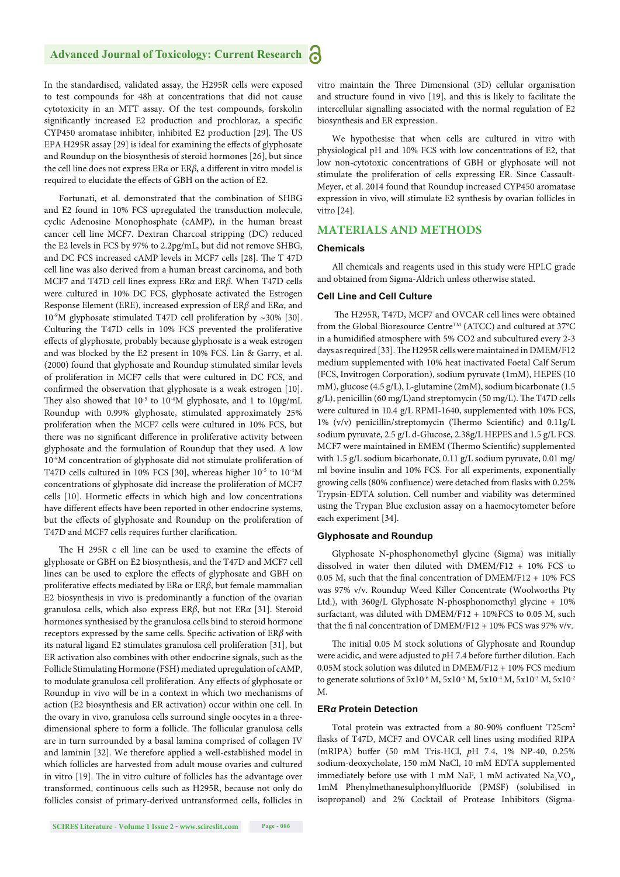In the standardised, validated assay, the H295R cells were exposed to test compounds for 48h at concentrations that did not cause cytotoxicity in an MTT assay. Of the test compounds, forskolin significantly increased E2 production and prochloraz, a specific CYP450 aromatase inhibiter, inhibited E2 production [29]. The US EPA H295R assay [29] is ideal for examining the effects of glyphosate and Roundup on the biosynthesis of steroid hormones [26], but since the cell line does not express ER*α* or ER*β*, a different in vitro model is required to elucidate the effects of GBH on the action of E2.

Fortunati, et al. demonstrated that the combination of SHBG and E2 found in 10% FCS upregulated the transduction molecule, cyclic Adenosine Monophosphate (cAMP), in the human breast cancer cell line MCF7. Dextran Charcoal stripping (DC) reduced the E2 levels in FCS by 97% to 2.2pg/mL, but did not remove SHBG, and DC FCS increased cAMP levels in MCF7 cells [28]. The T 47D cell line was also derived from a human breast carcinoma, and both MCF7 and T47D cell lines express ER*α* and ER*β*. When T47D cells were cultured in 10% DC FCS, glyphosate activated the Estrogen Response Element (ERE), increased expression of ER*β* and ER*α*, and  $10<sup>-9</sup>M$  glyphosate stimulated T47D cell proliferation by  $\sim$ 30% [30]. Culturing the T47D cells in 10% FCS prevented the proliferative effects of glyphosate, probably because glyphosate is a weak estrogen and was blocked by the E2 present in 10% FCS. Lin & Garry, et al. (2000) found that glyphosate and Roundup stimulated similar levels of proliferation in MCF7 cells that were cultured in DC FCS, and confirmed the observation that glyphosate is a weak estrogen [10]. They also showed that  $10^{-5}$  to  $10^{-4}M$  glyphosate, and 1 to  $10\mu g/mL$ Roundup with 0.99% glyphosate, stimulated approximately 25% proliferation when the MCF7 cells were cultured in 10% FCS, but there was no significant difference in proliferative activity between glyphosate and the formulation of Roundup that they used. A low 10-9M concentration of glyphosate did not stimulate proliferation of T47D cells cultured in 10% FCS [30], whereas higher 10<sup>-5</sup> to 10<sup>-4</sup>M concentrations of glyphosate did increase the proliferation of MCF7 cells [10]. Hormetic effects in which high and low concentrations have different effects have been reported in other endocrine systems, but the effects of glyphosate and Roundup on the proliferation of T47D and MCF7 cells requires further clarification.

The H 295R c ell line can be used to examine the effects of glyphosate or GBH on E2 biosynthesis, and the T47D and MCF7 cell lines can be used to explore the effects of glyphosate and GBH on proliferative effects mediated by ER*α* or ERβ, but female mammalian E2 biosynthesis in vivo is predominantly a function of the ovarian granulosa cells, which also express ER*β*, but not ER*α* [31]. Steroid hormones synthesised by the granulosa cells bind to steroid hormone receptors expressed by the same cells. Specific activation of ERβ with its natural ligand E2 stimulates granulosa cell proliferation [31], but ER activation also combines with other endocrine signals, such as the Follicle Stimulating Hormone (FSH) mediated upregulation of cAMP, to modulate granulosa cell proliferation. Any effects of glyphosate or Roundup in vivo will be in a context in which two mechanisms of action (E2 biosynthesis and ER activation) occur within one cell. In the ovary in vivo, granulosa cells surround single oocytes in a threedimensional sphere to form a follicle. The follicular granulosa cells are in turn surrounded by a basal lamina comprised of collagen IV and laminin [32]. We therefore applied a well-established model in which follicles are harvested from adult mouse ovaries and cultured in vitro [19]. The in vitro culture of follicles has the advantage over transformed, continuous cells such as H295R, because not only do follicles consist of primary-derived untransformed cells, follicles in vitro maintain the Three Dimensional (3D) cellular organisation and structure found in vivo [19], and this is likely to facilitate the intercellular signalling associated with the normal regulation of E2 biosynthesis and ER expression.

We hypothesise that when cells are cultured in vitro with physiological pH and 10% FCS with low concentrations of E2, that low non-cytotoxic concentrations of GBH or glyphosate will not stimulate the proliferation of cells expressing ER. Since Cassault-Meyer, et al. 2014 found that Roundup increased CYP450 aromatase expression in vivo, will stimulate E2 synthesis by ovarian follicles in vitro [24].

#### **MATERIALS AND METHODS**

#### **Chemicals**

All chemicals and reagents used in this study were HPLC grade and obtained from Sigma-Aldrich unless otherwise stated.

#### **Cell Line and Cell Culture**

The H295R, T47D, MCF7 and OVCAR cell lines were obtained from the Global Bioresource Centre<sup>TM</sup> (ATCC) and cultured at 37°C in a humidified atmosphere with 5% CO2 and subcultured every 2-3 days as required [33]. The H295R cells were maintained in DMEM/F12 medium supplemented with 10% heat inactivated Foetal Calf Serum (FCS, Invitrogen Corporation), sodium pyruvate (1mM), HEPES (10 mM), glucose (4.5 g/L), L-glutamine (2mM), sodium bicarbonate (1.5 g/L), penicillin (60 mg/L)and streptomycin (50 mg/L). The T47D cells were cultured in 10.4 g/L RPMI-1640, supplemented with 10% FCS, 1% (v/v) penicillin/streptomycin (Thermo Scientific) and 0.11g/L sodium pyruvate, 2.5 g/L d-Glucose, 2.38g/L HEPES and 1.5 g/L FCS. MCF7 were maintained in EMEM (Thermo Scientific) supplemented with 1.5 g/L sodium bicarbonate, 0.11 g/L sodium pyruvate, 0.01 mg/ ml bovine insulin and 10% FCS. For all experiments, exponentially growing cells (80% confluence) were detached from flasks with 0.25% Trypsin-EDTA solution. Cell number and viability was determined using the Trypan Blue exclusion assay on a haemocytometer before each experiment [34].

#### **Glyphosate and Roundup**

Glyphosate N-phosphonomethyl glycine (Sigma) was initially dissolved in water then diluted with DMEM/F12 + 10% FCS to 0.05 M, such that the final concentration of  $DMEM/F12 + 10\%$  FCS was 97% v/v. Roundup Weed Killer Concentrate (Woolworths Pty Ltd.), with 360g/L Glyphosate N-phosphonomethyl glycine + 10% surfactant, was diluted with DMEM/F12 + 10%FCS to 0.05 M, such that the fi nal concentration of DMEM/F12 + 10% FCS was 97% v/v.

The initial 0.05 M stock solutions of Glyphosate and Roundup were acidic, and were adjusted to *p*H 7.4 before further dilution. Each 0.05M stock solution was diluted in DMEM/F12 + 10% FCS medium to generate solutions of 5x10<sup>-6</sup> M, 5x10<sup>-5</sup> M, 5x10<sup>-4</sup> M, 5x10<sup>-3</sup> M, 5x10<sup>-2</sup> M.

#### **ER***α* **Protein Detection**

Total protein was extracted from a 80-90% confluent T25cm<sup>2</sup> flasks of T47D, MCF7 and OVCAR cell lines using modified RIPA (mRIPA) buffer (50 mM Tris-HCl, pH 7.4, 1% NP-40, 0.25% sodium-deoxycholate, 150 mM NaCl, 10 mM EDTA supplemented immediately before use with 1 mM NaF, 1 mM activated  $\text{Na}_3\text{VO}_4$ , 1mM Phenylmethanesulphonylfluoride (PMSF) (solubilised in isopropanol) and 2% Cocktail of Protease Inhibitors (Sigma-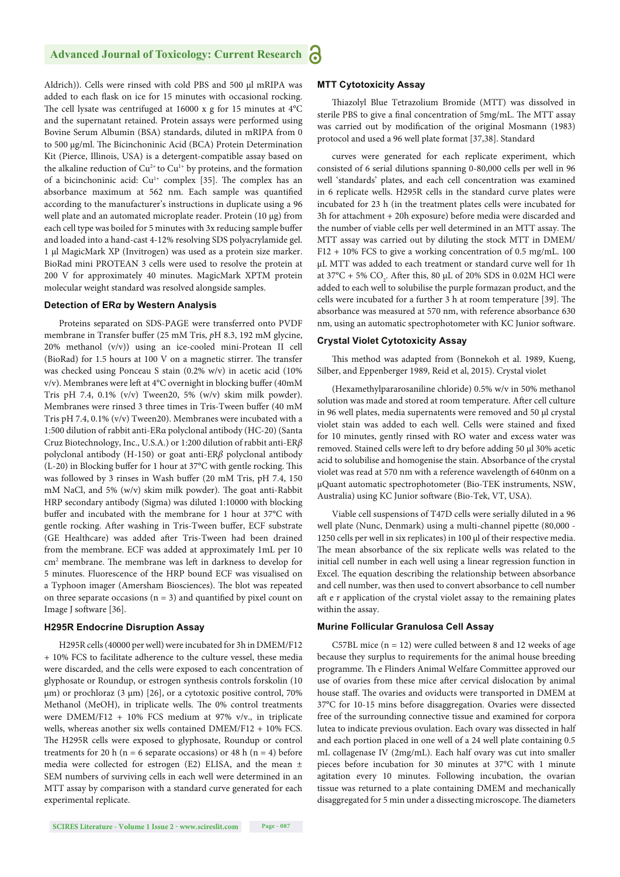Aldrich)). Cells were rinsed with cold PBS and 500 μl mRIPA was added to each flask on ice for 15 minutes with occasional rocking. The cell lysate was centrifuged at 16000 x g for 15 minutes at  $4^{\circ}$ C and the supernatant retained. Protein assays were performed using Bovine Serum Albumin (BSA) standards, diluted in mRIPA from 0 to 500 μg/ml. The Bicinchoninic Acid (BCA) Protein Determination Kit (Pierce, Illinois, USA) is a detergent-compatible assay based on the alkaline reduction of  $Cu^{2+}$  to  $Cu^{1+}$  by proteins, and the formation of a bicinchoninic acid:  $Cu^{1+}$  complex [35]. The complex has an absorbance maximum at 562 nm. Each sample was quantified according to the manufacturer's instructions in duplicate using a 96 well plate and an automated microplate reader. Protein (10 μg) from each cell type was boiled for 5 minutes with 3x reducing sample buffer and loaded into a hand-cast 4-12% resolving SDS polyacrylamide gel. 1 μl MagicMark XP (Invitrogen) was used as a protein size marker. BioRad mini PROTEAN 3 cells were used to resolve the protein at 200 V for approximately 40 minutes. MagicMark XPTM protein molecular weight standard was resolved alongside samples.

#### **Detection of ER***α* **by Western Analysis**

Proteins separated on SDS-PAGE were transferred onto PVDF membrane in Transfer buffer (25 mM Tris, pH 8.3, 192 mM glycine, 20% methanol (v/v)) using an ice-cooled mini-Protean II cell (BioRad) for 1.5 hours at 100 V on a magnetic stirrer. The transfer was checked using Ponceau S stain (0.2% w/v) in acetic acid (10% v/v). Membranes were left at  $4^{\circ}$ C overnight in blocking buffer (40mM Tris pH 7.4, 0.1% (v/v) Tween20, 5% (w/v) skim milk powder). Membranes were rinsed 3 three times in Tris-Tween buffer (40 mM Tris pH 7.4, 0.1% (v/v) Tween20). Membranes were incubated with a 1:500 dilution of rabbit anti-ERα polyclonal antibody (HC-20) (Santa Cruz Biotechnology, Inc., U.S.A.) or 1:200 dilution of rabbit anti-ER*β*  polyclonal antibody (H-150) or goat anti-ER*β* polyclonal antibody (L-20) in Blocking buffer for 1 hour at 37°C with gentle rocking. This was followed by 3 rinses in Wash buffer (20 mM Tris, pH 7.4, 150 mM NaCl, and 5% (w/v) skim milk powder). The goat anti-Rabbit HRP secondary antibody (Sigma) was diluted 1:10000 with blocking buffer and incubated with the membrane for 1 hour at 37°C with gentle rocking. After washing in Tris-Tween buffer, ECF substrate (GE Healthcare) was added after Tris-Tween had been drained from the membrane. ECF was added at approximately 1mL per 10 cm<sup>2</sup> membrane. The membrane was left in darkness to develop for 5 minutes. Fluorescence of the HRP bound ECF was visualised on a Typhoon imager (Amersham Biosciences). The blot was repeated on three separate occasions ( $n = 3$ ) and quantified by pixel count on Image J software [36].

#### **H295R Endocrine Disruption Assay**

H295R cells (40000 per well) were incubated for 3h in DMEM/F12 + 10% FCS to facilitate adherence to the culture vessel, these media were discarded, and the cells were exposed to each concentration of glyphosate or Roundup, or estrogen synthesis controls forskolin (10 μm) or prochloraz (3 μm) [26], or a cytotoxic positive control, 70% Methanol (MeOH), in triplicate wells. The 0% control treatments were DMEM/F12 + 10% FCS medium at 97% v/v., in triplicate wells, whereas another six wells contained DMEM/F12 + 10% FCS. The H295R cells were exposed to glyphosate, Roundup or control treatments for 20 h ( $n = 6$  separate occasions) or 48 h ( $n = 4$ ) before media were collected for estrogen (E2) ELISA, and the mean ± SEM numbers of surviving cells in each well were determined in an MTT assay by comparison with a standard curve generated for each experimental replicate.

#### **MTT Cytotoxicity Assay**

Thiazolyl Blue Tetrazolium Bromide (MTT) was dissolved in sterile PBS to give a final concentration of 5mg/mL. The MTT assay was carried out by modification of the original Mosmann (1983) protocol and used a 96 well plate format [37,38]. Standard

curves were generated for each replicate experiment, which consisted of 6 serial dilutions spanning 0-80,000 cells per well in 96 well 'standards' plates, and each cell concentration was examined in 6 replicate wells. H295R cells in the standard curve plates were incubated for 23 h (in the treatment plates cells were incubated for 3h for attachment + 20h exposure) before media were discarded and the number of viable cells per well determined in an MTT assay. The MTT assay was carried out by diluting the stock MTT in DMEM/ F12 + 10% FCS to give a working concentration of 0.5 mg/mL. 100 μL MTT was added to each treatment or standard curve well for 1h at 37°C + 5%  $CO_2$ . After this, 80 µL of 20% SDS in 0.02M HCl were added to each well to solubilise the purple formazan product, and the cells were incubated for a further 3 h at room temperature [39]. The absorbance was measured at 570 nm, with reference absorbance 630 nm, using an automatic spectrophotometer with KC Junior software.

#### **Crystal Violet Cytotoxicity Assay**

This method was adapted from (Bonnekoh et al. 1989, Kueng, Silber, and Eppenberger 1989, Reid et al, 2015). Crystal violet

(Hexamethylpararosaniline chloride) 0.5% w/v in 50% methanol solution was made and stored at room temperature. After cell culture in 96 well plates, media supernatents were removed and 50 μl crystal violet stain was added to each well. Cells were stained and fixed for 10 minutes, gently rinsed with RO water and excess water was removed. Stained cells were left to dry before adding 50 μl 30% acetic acid to solubilise and homogenise the stain. Absorbance of the crystal violet was read at 570 nm with a reference wavelength of 640nm on a μQuant automatic spectrophotometer (Bio-TEK instruments, NSW, Australia) using KC Junior software (Bio-Tek, VT, USA).

Viable cell suspensions of T47D cells were serially diluted in a 96 well plate (Nunc, Denmark) using a multi-channel pipette (80,000 - 1250 cells per well in six replicates) in 100 μl of their respective media. The mean absorbance of the six replicate wells was related to the initial cell number in each well using a linear regression function in Excel. The equation describing the relationship between absorbance and cell number, was then used to convert absorbance to cell number aft e r application of the crystal violet assay to the remaining plates within the assay.

#### **Murine Follicular Granulosa Cell Assay**

C57BL mice  $(n = 12)$  were culled between 8 and 12 weeks of age because they surplus to requirements for the animal house breeding programme. Th e Flinders Animal Welfare Committee approved our use of ovaries from these mice after cervical dislocation by animal house staff. The ovaries and oviducts were transported in DMEM at 37°C for 10-15 mins before disaggregation. Ovaries were dissected free of the surrounding connective tissue and examined for corpora lutea to indicate previous ovulation. Each ovary was dissected in half and each portion placed in one well of a 24 well plate containing 0.5 mL collagenase IV (2mg/mL). Each half ovary was cut into smaller pieces before incubation for 30 minutes at 37°C with 1 minute agitation every 10 minutes. Following incubation, the ovarian tissue was returned to a plate containing DMEM and mechanically disaggregated for 5 min under a dissecting microscope. The diameters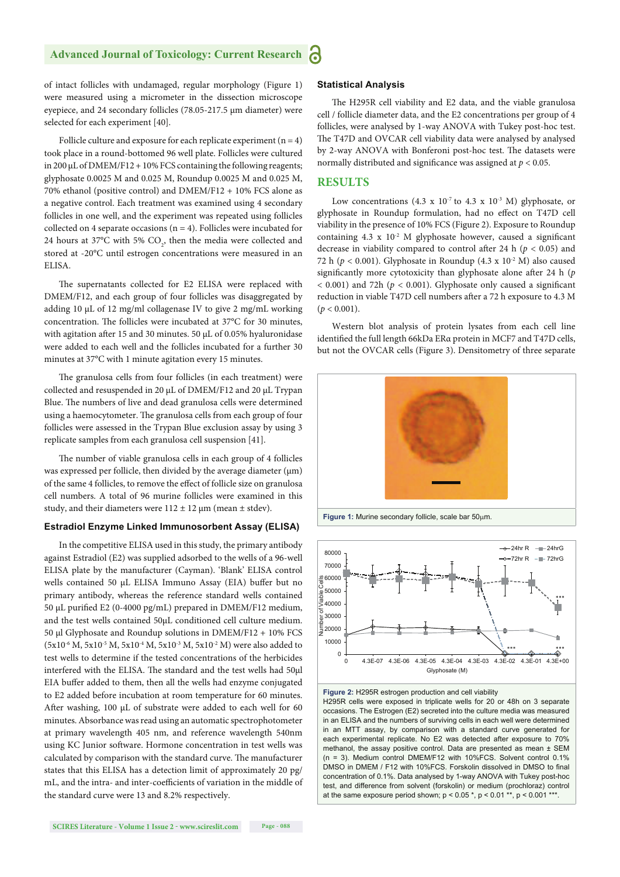of intact follicles with undamaged, regular morphology (Figure 1) were measured using a micrometer in the dissection microscope eyepiece, and 24 secondary follicles (78.05-217.5 μm diameter) were selected for each experiment [40].

Follicle culture and exposure for each replicate experiment  $(n = 4)$ took place in a round-bottomed 96 well plate. Follicles were cultured in 200 μL of DMEM/F12 + 10% FCS containing the following reagents; glyphosate 0.0025 M and 0.025 M, Roundup 0.0025 M and 0.025 M, 70% ethanol (positive control) and DMEM/F12 + 10% FCS alone as a negative control. Each treatment was examined using 4 secondary follicles in one well, and the experiment was repeated using follicles collected on 4 separate occasions ( $n = 4$ ). Follicles were incubated for 24 hours at 37°C with 5%  $CO<sub>2</sub>$ , then the media were collected and stored at -20°C until estrogen concentrations were measured in an ELISA.

The supernatants collected for E2 ELISA were replaced with DMEM/F12, and each group of four follicles was disaggregated by adding 10 μL of 12 mg/ml collagenase IV to give 2 mg/mL working concentration. The follicles were incubated at 37°C for 30 minutes, with agitation after 15 and 30 minutes. 50  $\mu$ L of 0.05% hyaluronidase were added to each well and the follicles incubated for a further 30 minutes at 37°C with 1 minute agitation every 15 minutes.

The granulosa cells from four follicles (in each treatment) were collected and resuspended in 20 μL of DMEM/F12 and 20 μL Trypan Blue. The numbers of live and dead granulosa cells were determined using a haemocytometer. The granulosa cells from each group of four follicles were assessed in the Trypan Blue exclusion assay by using 3 replicate samples from each granulosa cell suspension [41].

The number of viable granulosa cells in each group of 4 follicles was expressed per follicle, then divided by the average diameter (μm) of the same 4 follicles, to remove the effect of follicle size on granulosa cell numbers. A total of 96 murine follicles were examined in this study, and their diameters were  $112 \pm 12$  µm (mean  $\pm$  stdev).

#### **Estradiol Enzyme Linked Immunosorbent Assay (ELISA)**

In the competitive ELISA used in this study, the primary antibody against Estradiol (E2) was supplied adsorbed to the wells of a 96-well ELISA plate by the manufacturer (Cayman). 'Blank' ELISA control wells contained 50 μL ELISA Immuno Assay (EIA) buffer but no primary antibody, whereas the reference standard wells contained 50 μL purified E2 (0-4000 pg/mL) prepared in DMEM/F12 medium, and the test wells contained 50μL conditioned cell culture medium. 50 μl Glyphosate and Roundup solutions in DMEM/F12 + 10% FCS  $(5x10<sup>-6</sup> M, 5x10<sup>-5</sup> M, 5x10<sup>-4</sup> M, 5x10<sup>-3</sup> M, 5x10<sup>-2</sup> M)$  were also added to test wells to determine if the tested concentrations of the herbicides interfered with the ELISA. The standard and the test wells had 50µl EIA buffer added to them, then all the wells had enzyme conjugated to E2 added before incubation at room temperature for 60 minutes. After washing,  $100 \mu L$  of substrate were added to each well for 60 minutes. Absorbance was read using an automatic spectrophotometer at primary wavelength 405 nm, and reference wavelength 540nm using KC Junior software. Hormone concentration in test wells was calculated by comparison with the standard curve. The manufacturer states that this ELISA has a detection limit of approximately 20 pg/ mL, and the intra- and inter-coefficients of variation in the middle of the standard curve were 13 and 8.2% respectively.

#### **Statistical Analysis**

The H295R cell viability and E2 data, and the viable granulosa cell / follicle diameter data, and the E2 concentrations per group of 4 follicles, were analysed by 1-way ANOVA with Tukey post-hoc test. The T47D and OVCAR cell viability data were analysed by analysed by 2-way ANOVA with Bonferoni post-hoc test. The datasets were normally distributed and significance was assigned at  $p < 0.05$ .

#### **RESULTS**

Low concentrations (4.3 x  $10^{-7}$  to 4.3 x  $10^{-3}$  M) glyphosate, or glyphosate in Roundup formulation, had no effect on T47D cell viability in the presence of 10% FCS (Figure 2). Exposure to Roundup containing  $4.3 \times 10^{-2}$  M glyphosate however, caused a significant decrease in viability compared to control after 24 h ( $p < 0.05$ ) and 72 h ( $p < 0.001$ ). Glyphosate in Roundup (4.3 x 10<sup>-2</sup> M) also caused significantly more cytotoxicity than glyphosate alone after 24 h (p  $<$  0.001) and 72h ( $p$  < 0.001). Glyphosate only caused a significant reduction in viable T47D cell numbers after a 72 h exposure to 4.3 M  $(p < 0.001)$ .

Western blot analysis of protein lysates from each cell line identified the full length 66kDa ERa protein in MCF7 and T47D cells, but not the OVCAR cells (Figure 3). Densitometry of three separate



Figure 1: Murine secondary follicle, scale bar 50um.





H295R cells were exposed in triplicate wells for 20 or 48h on 3 separate occasions. The Estrogen (E2) secreted into the culture media was measured in an ELISA and the numbers of surviving cells in each well were determined in an MTT assay, by comparison with a standard curve generated for each experimental replicate. No E2 was detected after exposure to 70% methanol, the assay positive control. Data are presented as mean ± SEM  $(n = 3)$ . Medium control DMEM/F12 with 10%FCS. Solvent control 0.1% DMSO in DMEM / F12 with 10%FCS. Forskolin dissolved in DMSO to final concentration of 0.1%. Data analysed by 1-way ANOVA with Tukey post-hoc test, and difference from solvent (forskolin) or medium (prochloraz) control at the same exposure period shown;  $p < 0.05$ \*,  $p < 0.01$ \*\*,  $p < 0.001$ \*\*\*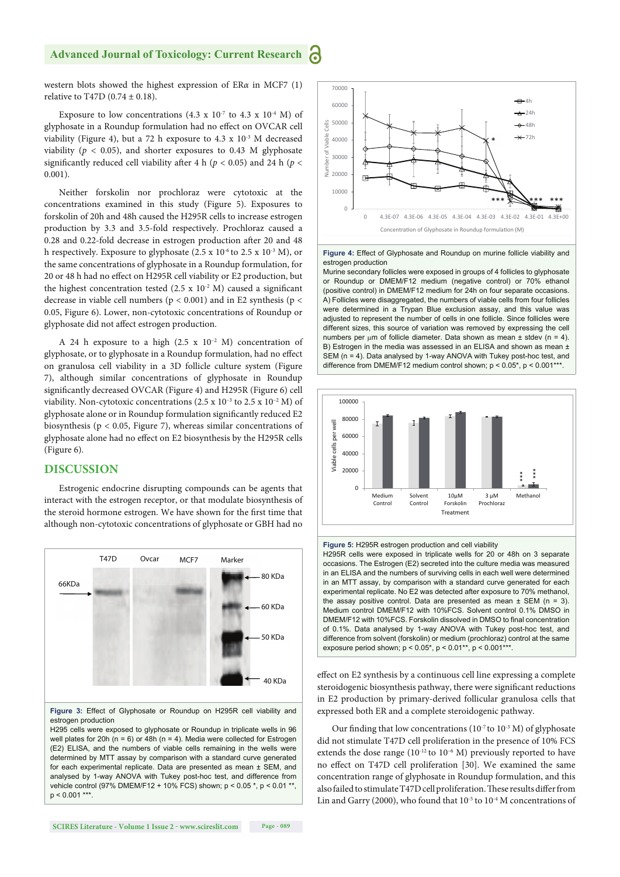western blots showed the highest expression of ER*α* in MCF7 (1) relative to T47D (0.74  $\pm$  0.18).

Exposure to low concentrations (4.3 x  $10^{-7}$  to 4.3 x  $10^{-4}$  M) of glyphosate in a Roundup formulation had no effect on OVCAR cell viability (Figure 4), but a 72 h exposure to 4.3 x 10<sup>-3</sup> M decreased viability ( $p < 0.05$ ), and shorter exposures to 0.43 M glyphosate significantly reduced cell viability after 4 h ( $p < 0.05$ ) and 24 h ( $p <$ 0.001).

Neither forskolin nor prochloraz were cytotoxic at the concentrations examined in this study (Figure 5). Exposures to forskolin of 20h and 48h caused the H295R cells to increase estrogen production by 3.3 and 3.5-fold respectively. Prochloraz caused a 0.28 and 0.22-fold decrease in estrogen production after 20 and 48 h respectively. Exposure to glyphosate (2.5 x  $10^{-6}$  to 2.5 x  $10^{-3}$  M), or the same concentrations of glyphosate in a Roundup formulation, for 20 or 48 h had no effect on H295R cell viability or E2 production, but the highest concentration tested  $(2.5 \times 10^{-2} \text{ M})$  caused a significant decrease in viable cell numbers ( $p < 0.001$ ) and in E2 synthesis ( $p <$ 0.05, Figure 6). Lower, non-cytotoxic concentrations of Roundup or glyphosate did not affect estrogen production.

A 24 h exposure to a high  $(2.5 \times 10^{-2} \text{ M})$  concentration of glyphosate, or to glyphosate in a Roundup formulation, had no effect on granulosa cell viability in a 3D follicle culture system (Figure 7), although similar concentrations of glyphosate in Roundup significantly decreased OVCAR (Figure 4) and H295R (Figure 6) cell viability. Non-cytotoxic concentrations  $(2.5 \times 10^{-3}$  to  $2.5 \times 10^{-2}$  M) of glyphosate alone or in Roundup formulation significantly reduced E2 biosynthesis (p < 0.05, Figure 7), whereas similar concentrations of glyphosate alone had no effect on E2 biosynthesis by the H295R cells (Figure 6).

#### **DISCUSSION**

Estrogenic endocrine disrupting compounds can be agents that interact with the estrogen receptor, or that modulate biosynthesis of the steroid hormone estrogen. We have shown for the first time that although non-cytotoxic concentrations of glyphosate or GBH had no





H295 cells were exposed to glyphosate or Roundup in triplicate wells in 96 well plates for 20h ( $n = 6$ ) or 48h ( $n = 4$ ). Media were collected for Estrogen (E2) ELISA, and the numbers of viable cells remaining in the wells were determined by MTT assay by comparison with a standard curve generated for each experimental replicate. Data are presented as mean ± SEM, and analysed by 1-way ANOVA with Tukey post-hoc test, and difference from vehicle control (97% DMEM/F12 + 10% FCS) shown; p < 0.05 \*, p < 0.01 \*\*,  $p < 0.001$ \*\*\*



**Figure 4:** Effect of Glyphosate and Roundup on murine follicle viability and estrogen production

Murine secondary follicles were exposed in groups of 4 follicles to glyphosate or Roundup or DMEM/F12 medium (negative control) or 70% ethanol (positive control) in DMEM/F12 medium for 24h on four separate occasions. A) Follicles were disaggregated, the numbers of viable cells from four follicles were determined in a Trypan Blue exclusion assay, and this value was adjusted to represent the number of cells in one follicle. Since follicles were different sizes, this source of variation was removed by expressing the cell numbers per  $\mu$ m of follicle diameter. Data shown as mean  $\pm$  stdev (n = 4). B) Estrogen in the media was assessed in an ELISA and shown as mean  $\pm$ SEM (n = 4). Data analysed by 1-way ANOVA with Tukey post-hoc test, and difference from DMEM/F12 medium control shown;  $p < 0.05$ \*,  $p < 0.001$ \*\*\*



**Figure 5:** H295R estrogen production and cell viability H295R cells were exposed in triplicate wells for 20 or 48h on 3 separate occasions. The Estrogen (E2) secreted into the culture media was measured in an ELISA and the numbers of surviving cells in each well were determined in an MTT assay, by comparison with a standard curve generated for each experimental replicate. No E2 was detected after exposure to 70% methanol, the assay positive control. Data are presented as mean  $\pm$  SEM (n = 3). Medium control DMEM/F12 with 10%FCS. Solvent control 0.1% DMSO in DMEM/F12 with 10%FCS. Forskolin dissolved in DMSO to final concentration of 0.1%. Data analysed by 1-way ANOVA with Tukey post-hoc test, and difference from solvent (forskolin) or medium (prochloraz) control at the same exposure period shown;  $p < 0.05^*$ ,  $p < 0.01^{**}$ ,  $p < 0.001^{***}$ .

effect on E2 synthesis by a continuous cell line expressing a complete steroidogenic biosynthesis pathway, there were significant reductions in E2 production by primary-derived follicular granulosa cells that expressed both ER and a complete steroidogenic pathway.

Our finding that low concentrations ( $10^{-7}$  to  $10^{-3}$  M) of glyphosate did not stimulate T47D cell proliferation in the presence of 10% FCS extends the dose range  $(10^{-12}$  to  $10^{-6}$  M) previously reported to have no effect on T47D cell proliferation [30]. We examined the same concentration range of glyphosate in Roundup formulation, and this also failed to stimulate T47D cell proliferation. These results differ from Lin and Garry (2000), who found that  $10^{-5}$  to  $10^{-4}$  M concentrations of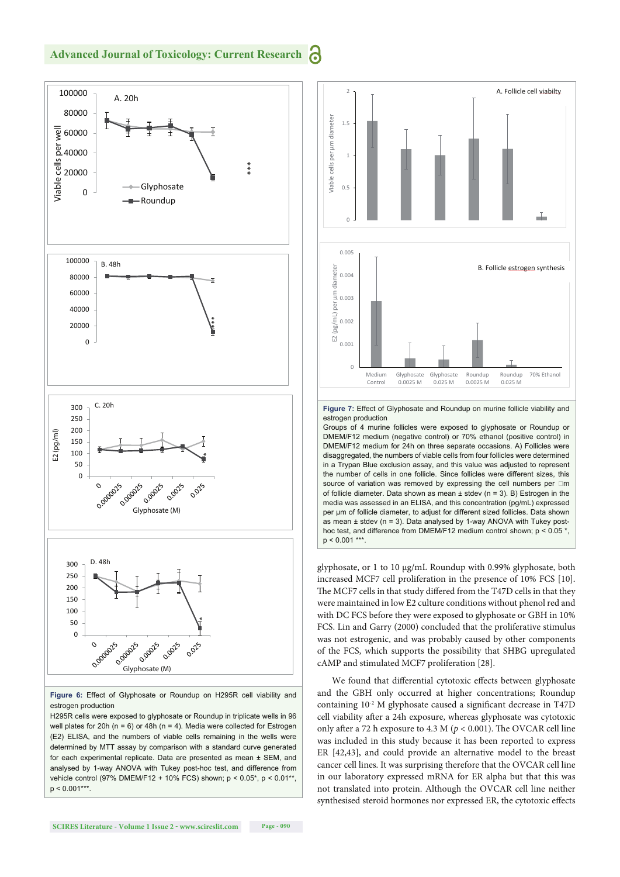#### **Advanced Journal of Toxicology: Current Research** Ъ



**Figure 6:** Effect of Glyphosate or Roundup on H295R cell viability and estrogen production

H295R cells were exposed to glyphosate or Roundup in triplicate wells in 96 well plates for 20h (n = 6) or 48h (n = 4). Media were collected for Estrogen (E2) ELISA, and the numbers of viable cells remaining in the wells were determined by MTT assay by comparison with a standard curve generated for each experimental replicate. Data are presented as mean ± SEM, and analysed by 1-way ANOVA with Tukey post-hoc test, and difference from vehicle control (97% DMEM/F12 + 10% FCS) shown; p < 0.05\*, p < 0.01\*\*,  $p < 0.001***$ 



**Figure 7:** Effect of Glyphosate and Roundup on murine follicle viability and estrogen production

Groups of 4 murine follicles were exposed to glyphosate or Roundup or DMEM/F12 medium (negative control) or 70% ethanol (positive control) in DMEM/F12 medium for 24h on three separate occasions. A) Follicles were disaggregated, the numbers of viable cells from four follicles were determined in a Trypan Blue exclusion assay, and this value was adjusted to represent the number of cells in one follicle. Since follicles were different sizes, this source of variation was removed by expressing the cell numbers per  $\Box m$ of follicle diameter. Data shown as mean  $\pm$  stdev (n = 3). B) Estrogen in the media was assessed in an ELISA, and this concentration (pg/mL) expressed per μm of follicle diameter, to adjust for different sized follicles. Data shown as mean  $\pm$  stdev (n = 3). Data analysed by 1-way ANOVA with Tukey posthoc test, and difference from DMEM/F12 medium control shown; p < 0.05 \*,  $p < 0.001$ \*\*\*

glyphosate, or 1 to 10 μg/mL Roundup with 0.99% glyphosate, both increased MCF7 cell proliferation in the presence of 10% FCS [10]. The MCF7 cells in that study differed from the T47D cells in that they were maintained in low E2 culture conditions without phenol red and with DC FCS before they were exposed to glyphosate or GBH in 10% FCS. Lin and Garry (2000) concluded that the proliferative stimulus was not estrogenic, and was probably caused by other components of the FCS, which supports the possibility that SHBG upregulated cAMP and stimulated MCF7 proliferation [28].

We found that differential cytotoxic effects between glyphosate and the GBH only occurred at higher concentrations; Roundup containing  $10^{-2}$  M glyphosate caused a significant decrease in T47D cell viability after a 24h exposure, whereas glyphosate was cytotoxic only after a 72 h exposure to 4.3 M ( $p < 0.001$ ). The OVCAR cell line was included in this study because it has been reported to express ER [42,43], and could provide an alternative model to the breast cancer cell lines. It was surprising therefore that the OVCAR cell line in our laboratory expressed mRNA for ER alpha but that this was not translated into protein. Although the OVCAR cell line neither synthesised steroid hormones nor expressed ER, the cytotoxic effects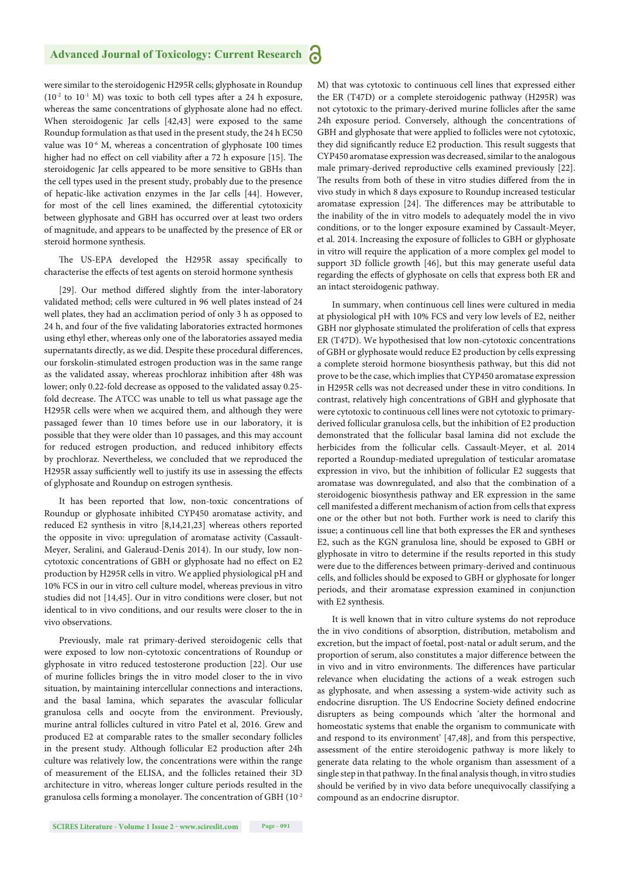were similar to the steroidogenic H295R cells; glyphosate in Roundup  $(10^{-2}$  to  $10^{-1}$  M) was toxic to both cell types after a 24 h exposure, whereas the same concentrations of glyphosate alone had no effect. When steroidogenic Jar cells [42,43] were exposed to the same Roundup formulation as that used in the present study, the 24 h EC50 value was 10<sup>-6</sup> M, whereas a concentration of glyphosate 100 times higher had no effect on cell viability after a 72 h exposure [15]. The steroidogenic Jar cells appeared to be more sensitive to GBHs than the cell types used in the present study, probably due to the presence of hepatic-like activation enzymes in the Jar cells [44]. However, for most of the cell lines examined, the differential cytotoxicity between glyphosate and GBH has occurred over at least two orders of magnitude, and appears to be unaffected by the presence of ER or steroid hormone synthesis.

The US-EPA developed the H295R assay specifically to characterise the effects of test agents on steroid hormone synthesis

[29]. Our method differed slightly from the inter-laboratory validated method; cells were cultured in 96 well plates instead of 24 well plates, they had an acclimation period of only 3 h as opposed to 24 h, and four of the five validating laboratories extracted hormones using ethyl ether, whereas only one of the laboratories assayed media supernatants directly, as we did. Despite these procedural differences, our forskolin-stimulated estrogen production was in the same range as the validated assay, whereas prochloraz inhibition after 48h was lower; only 0.22-fold decrease as opposed to the validated assay 0.25 fold decrease. The ATCC was unable to tell us what passage age the H295R cells were when we acquired them, and although they were passaged fewer than 10 times before use in our laboratory, it is possible that they were older than 10 passages, and this may account for reduced estrogen production, and reduced inhibitory effects by prochloraz. Nevertheless, we concluded that we reproduced the H295R assay sufficiently well to justify its use in assessing the effects of glyphosate and Roundup on estrogen synthesis.

It has been reported that low, non-toxic concentrations of Roundup or glyphosate inhibited CYP450 aromatase activity, and reduced E2 synthesis in vitro [8,14,21,23] whereas others reported the opposite in vivo: upregulation of aromatase activity (Cassault-Meyer, Seralini, and Galeraud-Denis 2014). In our study, low noncytotoxic concentrations of GBH or glyphosate had no effect on E2 production by H295R cells in vitro. We applied physiological pH and 10% FCS in our in vitro cell culture model, whereas previous in vitro studies did not [14,45]. Our in vitro conditions were closer, but not identical to in vivo conditions, and our results were closer to the in vivo observations.

Previously, male rat primary-derived steroidogenic cells that were exposed to low non-cytotoxic concentrations of Roundup or glyphosate in vitro reduced testosterone production [22]. Our use of murine follicles brings the in vitro model closer to the in vivo situation, by maintaining intercellular connections and interactions, and the basal lamina, which separates the avascular follicular granulosa cells and oocyte from the environment. Previously, murine antral follicles cultured in vitro Patel et al, 2016. Grew and produced E2 at comparable rates to the smaller secondary follicles in the present study. Although follicular E2 production after 24h culture was relatively low, the concentrations were within the range of measurement of the ELISA, and the follicles retained their 3D architecture in vitro, whereas longer culture periods resulted in the granulosa cells forming a monolayer. The concentration of GBH  $(10^{-2}$  M) that was cytotoxic to continuous cell lines that expressed either the ER (T47D) or a complete steroidogenic pathway (H295R) was not cytotoxic to the primary-derived murine follicles after the same 24h exposure period. Conversely, although the concentrations of GBH and glyphosate that were applied to follicles were not cytotoxic, they did significantly reduce E2 production. This result suggests that CYP450 aromatase expression was decreased, similar to the analogous male primary-derived reproductive cells examined previously [22]. The results from both of these in vitro studies differed from the in vivo study in which 8 days exposure to Roundup increased testicular aromatase expression [24]. The differences may be attributable to the inability of the in vitro models to adequately model the in vivo conditions, or to the longer exposure examined by Cassault-Meyer, et al. 2014. Increasing the exposure of follicles to GBH or glyphosate in vitro will require the application of a more complex gel model to support 3D follicle growth [46], but this may generate useful data regarding the effects of glyphosate on cells that express both ER and an intact steroidogenic pathway.

In summary, when continuous cell lines were cultured in media at physiological pH with 10% FCS and very low levels of E2, neither GBH nor glyphosate stimulated the proliferation of cells that express ER (T47D). We hypothesised that low non-cytotoxic concentrations of GBH or glyphosate would reduce E2 production by cells expressing a complete steroid hormone biosynthesis pathway, but this did not prove to be the case, which implies that CYP450 aromatase expression in H295R cells was not decreased under these in vitro conditions. In contrast, relatively high concentrations of GBH and glyphosate that were cytotoxic to continuous cell lines were not cytotoxic to primaryderived follicular granulosa cells, but the inhibition of E2 production demonstrated that the follicular basal lamina did not exclude the herbicides from the follicular cells. Cassault-Meyer, et al. 2014 reported a Roundup-mediated upregulation of testicular aromatase expression in vivo, but the inhibition of follicular E2 suggests that aromatase was downregulated, and also that the combination of a steroidogenic biosynthesis pathway and ER expression in the same cell manifested a different mechanism of action from cells that express one or the other but not both. Further work is need to clarify this issue; a continuous cell line that both expresses the ER and syntheses E2, such as the KGN granulosa line, should be exposed to GBH or glyphosate in vitro to determine if the results reported in this study were due to the differences between primary-derived and continuous cells, and follicles should be exposed to GBH or glyphosate for longer periods, and their aromatase expression examined in conjunction with E2 synthesis.

It is well known that in vitro culture systems do not reproduce the in vivo conditions of absorption, distribution, metabolism and excretion, but the impact of foetal, post-natal or adult serum, and the proportion of serum, also constitutes a major difference between the in vivo and in vitro environments. The differences have particular relevance when elucidating the actions of a weak estrogen such as glyphosate, and when assessing a system-wide activity such as endocrine disruption. The US Endocrine Society defined endocrine disrupters as being compounds which 'alter the hormonal and homeostatic systems that enable the organism to communicate with and respond to its environment' [47,48], and from this perspective, assessment of the entire steroidogenic pathway is more likely to generate data relating to the whole organism than assessment of a single step in that pathway. In the final analysis though, in vitro studies should be verified by in vivo data before unequivocally classifying a compound as an endocrine disruptor.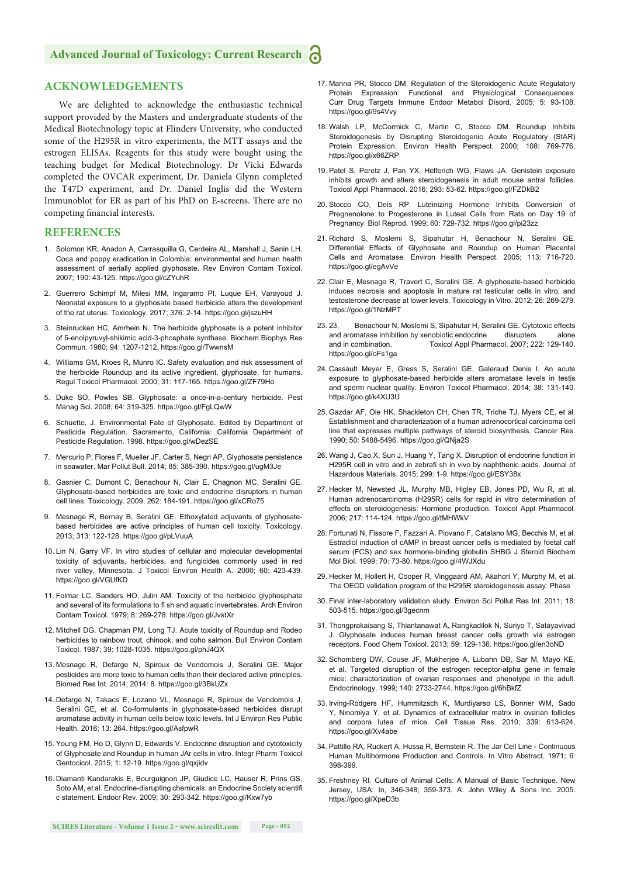#### **Advanced Journal of Toxicology: Current Research**

#### **ACKNOWLEDGEMENTS**

We are delighted to acknowledge the enthusiastic technical support provided by the Masters and undergraduate students of the Medical Biotechnology topic at Flinders University, who conducted some of the H295R in vitro experiments, the MTT assays and the estrogen ELISAs. Reagents for this study were bought using the teaching budget for Medical Biotechnology. Dr Vicki Edwards completed the OVCAR experiment, Dr. Daniela Glynn completed the T47D experiment, and Dr. Daniel Inglis did the Western Immunoblot for ER as part of his PhD on E-screens. There are no competing financial interests.

#### **REFERENCES**

- 1. Solomon KR, Anadon A, Carrasquilla G, Cerdeira AL, Marshall J, Sanin LH. Coca and poppy eradication in Colombia: environmental and human health assessment of aerially applied glyphosate. Rev Environ Contam Toxicol. 2007; 190: 43-125. https://goo.gl/cZYuhR
- 2. Guerrero Schimpf M, Milesi MM, Ingaramo PI, Luque EH, Varayoud J. Neonatal exposure to a glyphosate based herbicide alters the development of the rat uterus. Toxicology. 2017; 376: 2-14. https://goo.gl/jszuHH
- 3. Steinrucken HC, Amrhein N. The herbicide glyphosate is a potent inhibitor of 5-enolpyruvyl-shikimic acid-3-phosphate synthase. Biochem Biophys Res Commun. 1980; 94: 1207-1212. https://goo.gl/TwwnsM
- 4. Williams GM, Kroes R, Munro IC. Safety evaluation and risk assessment of the herbicide Roundup and its active ingredient, glyphosate, for humans. Regul Toxicol Pharmacol. 2000; 31: 117-165. https://goo.gl/ZF79Ho
- 5. Duke SO, Powles SB. Glyphosate: a once-in-a-century herbicide. Pest Manag Sci. 2008; 64: 319-325. https://goo.gl/FgLQwW
- 6. Schuette, J. Environmental Fate of Glyphosate. Edited by Department of Pesticide Regulation. Sacramento, California: California Department of Pesticide Regulation. 1998. https://goo.gl/wDezSE
- 7. Mercurio P, Flores F, Mueller JF, Carter S, Negri AP. Glyphosate persistence in seawater. Mar Pollut Bull. 2014; 85: 385-390. https://goo.gl/ugM3Je
- 8. Gasnier C, Dumont C, Benachour N, Clair E, Chagnon MC, Seralini GE. Glyphosate-based herbicides are toxic and endocrine disruptors in human cell lines. Toxicology. 2009; 262: 184-191. https://goo.gl/xCRo75
- 9. Mesnage R, Bernay B, Seralini GE. Ethoxylated adjuvants of glyphosatebased herbicides are active principles of human cell toxicity. Toxicology. 2013; 313: 122-128. https://goo.gl/pLVuuA
- 10. Lin N, Garry VF. In vitro studies of cellular and molecular developmental toxicity of adjuvants, herbicides, and fungicides commonly used in red river valley, Minnesota. J Toxicol Environ Health A. 2000; 60: 423-439. https://goo.gl/VGUfKD
- 11. Folmar LC, Sanders HO, Julin AM. Toxicity of the herbicide glyphosphate and several of its formulations to fi sh and aquatic invertebrates. Arch Environ Contam Toxicol. 1979; 8: 269-278. https://goo.gl/JvstXr
- 12. Mitchell DG, Chapman PM, Long TJ. Acute toxicity of Roundup and Rodeo herbicides to rainbow trout, chinook, and coho salmon. Bull Environ Contam Toxicol. 1987; 39: 1028-1035. https://goo.gl/phJ4QX
- 13. Mesnage R, Defarge N, Spiroux de Vendomois J, Seralini GE. Major pesticides are more toxic to human cells than their declared active principles. Biomed Res Int. 2014; 2014: 8. https://goo.gl/3BkUZx
- 14. Defarge N, Takacs E, Lozano VL, Mesnage R, Spiroux de Vendomois J, Seralini GE, et al. Co-formulants in glyphosate-based herbicides disrupt aromatase activity in human cells below toxic levels. Int J Environ Res Public Health. 2016; 13: 264. https://goo.gl/AsfpwR
- 15. Young FM, Ho D, Glynn D, Edwards V. Endocrine disruption and cytotoxicity of Glyphosate and Roundup in human JAr cells in vitro. Integr Pharm Toxicol Gentocicol. 2015; 1: 12-19. https://goo.gl/qxjidv
- 16. Diamanti Kandarakis E, Bourguignon JP, Giudice LC, Hauser R, Prins GS, Soto AM, et al. Endocrine-disrupting chemicals: an Endocrine Society scientifi c statement. Endocr Rev. 2009; 30: 293-342. https://goo.gl/Kxw7yb
- 17. Manna PR, Stocco DM. Regulation of the Steroidogenic Acute Regulatory Protein Expression: Functional and Physiological Consequences. Curr Drug Targets Immune Endocr Metabol Disord. 2005; 5: 93-108. https://goo.gl/9s4Vvy
- 18. Walsh LP, McCormick C, Martin C, Stocco DM. Roundup Inhibits Steroidogenesis by Disrupting Steroidogenic Acute Regulatory (StAR) Protein Expression. Environ Health Perspect. 2000; 108: 769-776. https://goo.gl/x66ZRP
- 19. Patel S, Peretz J, Pan YX, Helferich WG, Flaws JA. Genistein exposure inhibits growth and alters steroidogenesis in adult mouse antral follicles. Toxicol Appl Pharmacol. 2016; 293: 53-62. https://goo.gl/FZDkB2
- 20. Stocco CO, Deis RP. Luteinizing Hormone Inhibits Conversion of Pregnenolone to Progesterone in Luteal Cells from Rats on Day 19 of Pregnancy. Biol Reprod. 1999; 60: 729-732. https://goo.gl/pi23zz
- 21. Richard S, Moslemi S, Sipahutar H, Benachour N, Seralini GE. Differential Effects of Glyphosate and Roundup on Human Placental Cells and Aromatase. Environ Health Perspect. 2005; 113: 716-720. https://goo.gl/egAvVe
- 22. Clair E, Mesnage R, Travert C, Seralini GE. A glyphosate-based herbicide induces necrosis and apoptosis in mature rat testicular cells in vitro, and testosterone decrease at lower levels. Toxicology in Vitro. 2012; 26: 269-279. https://goo.gl/1NzMPT
- 23. 23. Benachour N, Moslemi S, Sipahutar H, Seralini GE. Cytotoxic effects and aromatase inhibition by xenobiotic endocrine disrupters alone and in combination. Toxicol Appl Pharmacol. 2007; 222: 129-140. https://goo.gl/oFs1ga
- 24. Cassault Meyer E, Gress S, Seralini GE, Galeraud Denis I. An acute exposure to glyphosate-based herbicide alters aromatase levels in testis and sperm nuclear quality. Environ Toxicol Pharmacol. 2014; 38: 131-140. https://goo.gl/k4XU3U
- 25. Gazdar AF, Oie HK, Shackleton CH, Chen TR, Triche TJ, Myers CE, et al. Establishment and characterization of a human adrenocortical carcinoma cell line that expresses multiple pathways of steroid biosynthesis. Cancer Res. 1990; 50: 5488-5496. https://goo.gl/QNja2S
- 26. Wang J, Cao X, Sun J, Huang Y, Tang X. Disruption of endocrine function in H295R cell in vitro and in zebrafi sh in vivo by naphthenic acids. Journal of Hazardous Materials. 2015; 299: 1-9. https://goo.gl/ESY38x
- 27. Hecker M, Newsted JL, Murphy MB, Higley EB, Jones PD, Wu R, at al. Human adrenocarcinoma (H295R) cells for rapid in vitro determination of effects on steroidogenesis: Hormone production. Toxicol Appl Pharmacol. 2006; 217: 114-124. https://goo.gl/tMHWkV
- 28. Fortunati N, Fissore F, Fazzari A, Piovano F, Catalano MG, Becchis M, et al. Estradiol induction of cAMP in breast cancer cells is mediated by foetal calf serum (FCS) and sex hormone-binding globulin SHBG J Steroid Biochem Mol Biol. 1999; 70: 73-80. https://goo.gl/4WJXdu
- 29. Hecker M, Hollert H, Cooper R, Vinggaard AM, Akahori Y, Murphy M, et al. The OECD validation program of the H295R steroidogenesis assay: Phase
- 30. Final inter-laboratory validation study. Environ Sci Pollut Res Int. 2011; 18: 503-515. https://goo.gl/3gecnm
- 31. Thongprakaisang S, Thiantanawat A, Rangkadilok N, Suriyo T, Satayavivad J. Glyphosate induces human breast cancer cells growth via estrogen receptors. Food Chem Toxicol. 2013; 59: 129-136. https://goo.gl/en3oND
- 32. Schomberg DW, Couse JF, Mukherjee A, Lubahn DB, Sar M, Mayo KE, et al. Targeted disruption of the estrogen receptor-alpha gene in female mice: characterization of ovarian responses and phenotype in the adult. Endocrinology. 1999; 140: 2733-2744. https://goo.gl/6hBkfZ
- 33. Irving-Rodgers HF, Hummitzsch K, Murdiyarso LS, Bonner WM, Sado Y, Ninomiya Y, et al. Dynamics of extracellular matrix in ovarian follicles and corpora lutea of mice. Cell Tissue Res. 2010; 339: 613-624. https://goo.gl/Xv4abe
- 34. Pattillo RA, Ruckert A, Hussa R, Bernstein R. The Jar Cell Line Continuous Human Multihormone Production and Controls. In Vitro Abstract. 1971; 6: 398-399.
- 35. Freshney RI. Culture of Animal Cells: A Manual of Basic Technique. New Jersey, USA: In, 346-348; 359-373. A. John Wiley & Sons Inc. 2005. https://goo.gl/XpeD3b